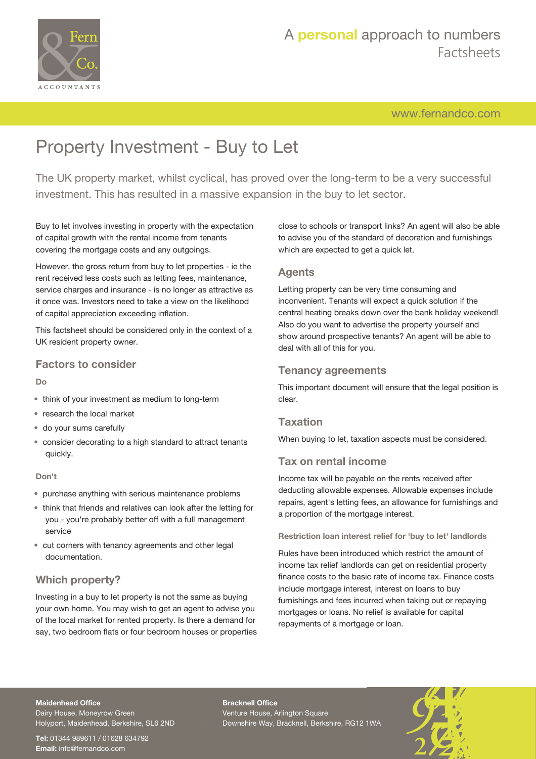

## A **personal** approach to numbers Factsheets

[www.fernandco.com](http://www.fernandco.com)

# Property Investment - Buy to Let

The UK property market, whilst cyclical, has proved over the long-term to be a very successful investment. This has resulted in a massive expansion in the buy to let sector.

Buy to let involves investing in property with the expectation of capital growth with the rental income from tenants covering the mortgage costs and any outgoings.

However, the gross return from buy to let properties - ie the rent received less costs such as letting fees, maintenance, service charges and insurance - is no longer as attractive as it once was. Investors need to take a view on the likelihood of capital appreciation exceeding inflation.

This factsheet should be considered only in the context of a UK resident property owner.

## **Factors to consider**

#### **Do**

- think of your investment as medium to long-term
- research the local market
- do your sums carefully
- consider decorating to a high standard to attract tenants quickly.

#### **Don't**

- purchase anything with serious maintenance problems
- think that friends and relatives can look after the letting for you - you're probably better off with a full management service
- cut corners with tenancy agreements and other legal documentation.

## **Which property?**

Investing in a buy to let property is not the same as buying your own home. You may wish to get an agent to advise you of the local market for rented property. Is there a demand for say, two bedroom flats or four bedroom houses or properties close to schools or transport links? An agent will also be able to advise you of the standard of decoration and furnishings which are expected to get a quick let.

### **Agents**

Letting property can be very time consuming and inconvenient. Tenants will expect a quick solution if the central heating breaks down over the bank holiday weekend! Also do you want to advertise the property yourself and show around prospective tenants? An agent will be able to deal with all of this for you.

### **Tenancy agreements**

This important document will ensure that the legal position is clear.

## **Taxation**

When buying to let, taxation aspects must be considered.

## **Tax on rental income**

Income tax will be payable on the rents received after deducting allowable expenses. Allowable expenses include repairs, agent's letting fees, an allowance for furnishings and a proportion of the mortgage interest.

#### **Restriction loan interest relief for 'buy to let' landlords**

Rules have been introduced which restrict the amount of income tax relief landlords can get on residential property finance costs to the basic rate of income tax. Finance costs include mortgage interest, interest on loans to buy furnishings and fees incurred when taking out or repaying mortgages or loans. No relief is available for capital repayments of a mortgage or loan.

#### **Maidenhead Office**

Dairy House, Moneyrow Green Holyport, Maidenhead, Berkshire, SL6 2ND

**Tel:** 01344 989611 / 01628 634792 **Email:** [info@fernandco.com](mailto:info@fernandco.com)

**Bracknell Office** Venture House, Arlington Square Downshire Way, Bracknell, Berkshire, RG12 1WA

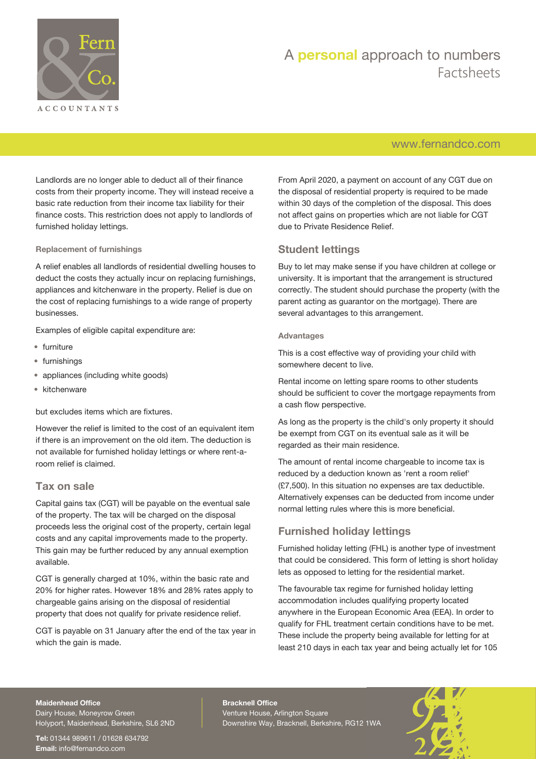

## A **personal** approach to numbers Factsheets

## [www.fernandco.com](http://www.fernandco.com)

Landlords are no longer able to deduct all of their finance costs from their property income. They will instead receive a basic rate reduction from their income tax liability for their finance costs. This restriction does not apply to landlords of furnished holiday lettings.

#### **Replacement of furnishings**

A relief enables all landlords of residential dwelling houses to deduct the costs they actually incur on replacing furnishings, appliances and kitchenware in the property. Relief is due on the cost of replacing furnishings to a wide range of property businesses.

Examples of eligible capital expenditure are:

- furniture
- furnishings
- appliances (including white goods)
- kitchenware

but excludes items which are fixtures.

However the relief is limited to the cost of an equivalent item if there is an improvement on the old item. The deduction is not available for furnished holiday lettings or where rent-aroom relief is claimed.

#### **Tax on sale**

Capital gains tax (CGT) will be payable on the eventual sale of the property. The tax will be charged on the disposal proceeds less the original cost of the property, certain legal costs and any capital improvements made to the property. This gain may be further reduced by any annual exemption available.

CGT is generally charged at 10%, within the basic rate and 20% for higher rates. However 18% and 28% rates apply to chargeable gains arising on the disposal of residential property that does not qualify for private residence relief.

CGT is payable on 31 January after the end of the tax year in which the gain is made.

From April 2020, a payment on account of any CGT due on the disposal of residential property is required to be made within 30 days of the completion of the disposal. This does not affect gains on properties which are not liable for CGT due to Private Residence Relief.

#### **Student lettings**

Buy to let may make sense if you have children at college or university. It is important that the arrangement is structured correctly. The student should purchase the property (with the parent acting as guarantor on the mortgage). There are several advantages to this arrangement.

#### **Advantages**

This is a cost effective way of providing your child with somewhere decent to live.

Rental income on letting spare rooms to other students should be sufficient to cover the mortgage repayments from a cash flow perspective.

As long as the property is the child's only property it should be exempt from CGT on its eventual sale as it will be regarded as their main residence.

The amount of rental income chargeable to income tax is reduced by a deduction known as 'rent a room relief' (£7,500). In this situation no expenses are tax deductible. Alternatively expenses can be deducted from income under normal letting rules where this is more beneficial.

## **Furnished holiday lettings**

Furnished holiday letting (FHL) is another type of investment that could be considered. This form of letting is short holiday lets as opposed to letting for the residential market.

The favourable tax regime for furnished holiday letting accommodation includes qualifying property located anywhere in the European Economic Area (EEA). In order to qualify for FHL treatment certain conditions have to be met. These include the property being available for letting for at least 210 days in each tax year and being actually let for 105

#### **Maidenhead Office**

Dairy House, Moneyrow Green Holyport, Maidenhead, Berkshire, SL6 2ND

**Tel:** 01344 989611 / 01628 634792 **Email:** [info@fernandco.com](mailto:info@fernandco.com)

**Bracknell Office** Venture House, Arlington Square Downshire Way, Bracknell, Berkshire, RG12 1WA